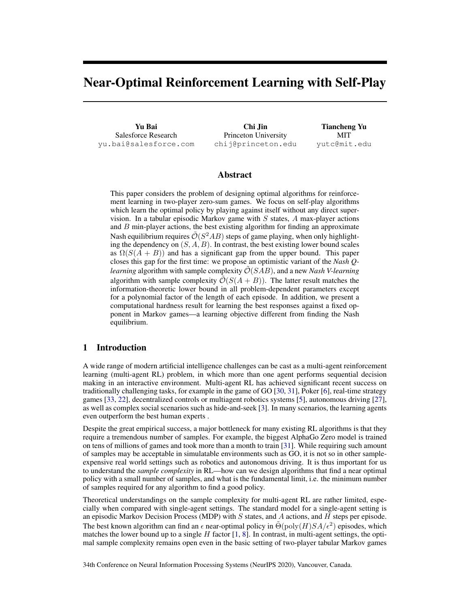# Near-Optimal Reinforcement Learning with Self-Play

Yu Bai Salesforce Research yu.bai@salesforce.com

Chi Jin Princeton University chij@princeton.edu

Tiancheng Yu MIT yutc@mit.edu

# Abstract

This paper considers the problem of designing optimal algorithms for reinforcement learning in two-player zero-sum games. We focus on self-play algorithms which learn the optimal policy by playing against itself without any direct supervision. In a tabular episodic Markov game with  $S$  states,  $A$  max-player actions and  $B$  min-player actions, the best existing algorithm for finding an approximate Nash equilibrium requires  $\tilde{\mathcal{O}}(S^2AB)$  steps of game playing, when only highlighting the dependency on  $(S, A, B)$ . In contrast, the best existing lower bound scales as  $\Omega(S(A + B))$  and has a significant gap from the upper bound. This paper closes this gap for the first time: we propose an optimistic variant of the *Nash Qlearning* algorithm with sample complexity O˜(SAB), and a new *Nash V-learning* algorithm with sample complexity  $\mathcal{O}(S(A + B))$ . The latter result matches the information-theoretic lower bound in all problem-dependent parameters except for a polynomial factor of the length of each episode. In addition, we present a computational hardness result for learning the best responses against a fixed opponent in Markov games—a learning objective different from finding the Nash equilibrium.

# 1 Introduction

A wide range of modern artificial intelligence challenges can be cast as a multi-agent reinforcement learning (multi-agent RL) problem, in which more than one agent performs sequential decision making in an interactive environment. Multi-agent RL has achieved significant recent success on traditionally challenging tasks, for example in the game of GO [30, 31], Poker [6], real-time strategy games [33, 22], decentralized controls or multiagent robotics systems [5], autonomous driving [27], as well as complex social scenarios such as hide-and-seek [3]. In many scenarios, the learning agents even outperform the best human experts .

Despite the great empirical success, a major bottleneck for many existing RL algorithms is that they require a tremendous number of samples. For example, the biggest AlphaGo Zero model is trained on tens of millions of games and took more than a month to train [31]. While requiring such amount of samples may be acceptable in simulatable environments such as GO, it is not so in other sampleexpensive real world settings such as robotics and autonomous driving. It is thus important for us to understand the *sample complexity* in RL—how can we design algorithms that find a near optimal policy with a small number of samples, and what is the fundamental limit, i.e. the minimum number of samples required for any algorithm to find a good policy.

Theoretical understandings on the sample complexity for multi-agent RL are rather limited, especially when compared with single-agent settings. The standard model for a single-agent setting is an episodic Markov Decision Process (MDP) with  $S$  states, and  $A$  actions, and  $H$  steps per episode. The best known algorithm can find an  $\epsilon$  near-optimal policy in  $\tilde{\Theta}(\text{poly}(H)SA/\epsilon^2)$  episodes, which matches the lower bound up to a single  $H$  factor  $[1, 8]$ . In contrast, in multi-agent settings, the optimal sample complexity remains open even in the basic setting of two-player tabular Markov games

34th Conference on Neural Information Processing Systems (NeurIPS 2020), Vancouver, Canada.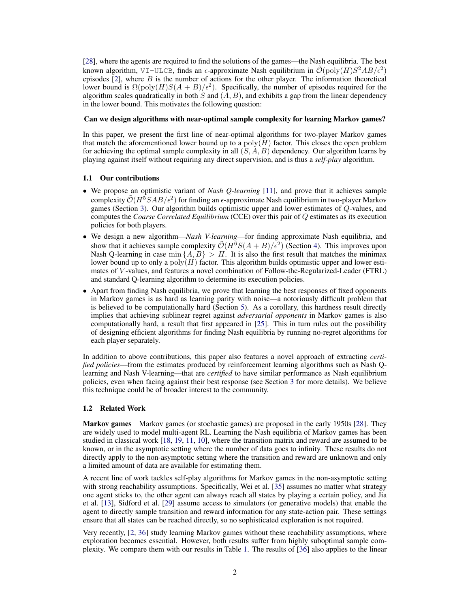[28], where the agents are required to find the solutions of the games—the Nash equilibria. The best known algorithm, VI-ULCB, finds an  $\epsilon$ -approximate Nash equilibrium in  $\tilde{\mathcal{O}}(\text{poly}(H)S^2AB/\epsilon^2)$ episodes  $[2]$ , where B is the number of actions for the other player. The information theoretical lower bound is  $\Omega(\text{poly}(H)S(A + B)/\epsilon^2)$ . Specifically, the number of episodes required for the algorithm scales quadratically in both  $S$  and  $(A, B)$ , and exhibits a gap from the linear dependency in the lower bound. This motivates the following question:

#### Can we design algorithms with near-optimal sample complexity for learning Markov games?

In this paper, we present the first line of near-optimal algorithms for two-player Markov games that match the aforementioned lower bound up to a  $poly(H)$  factor. This closes the open problem for achieving the optimal sample complexity in all  $(S, A, B)$  dependency. Our algorithm learns by playing against itself without requiring any direct supervision, and is thus a *self-play* algorithm.

#### 1.1 Our contributions

- We propose an optimistic variant of *Nash Q-learning* [11], and prove that it achieves sample complexity  $\tilde{\mathcal{O}}(H^5SAB/\epsilon^2)$  for finding an  $\epsilon$ -approximate Nash equilibrium in two-player Markov games (Section 3). Our algorithm builds optimistic upper and lower estimates of  $Q$ -values, and computes the *Coarse Correlated Equilibrium* (CCE) over this pair of Q estimates as its execution policies for both players.
- We design a new algorithm—*Nash V-learning*—for finding approximate Nash equilibria, and show that it achieves sample complexity  $\tilde{\mathcal{O}}(H^6S(A+B)/\epsilon^2)$  (Section 4). This improves upon Nash Q-learning in case  $\min\{A, B\} > H$ . It is also the first result that matches the minimax lower bound up to only a  $poly(H)$  factor. This algorithm builds optimistic upper and lower estimates of V -values, and features a novel combination of Follow-the-Regularized-Leader (FTRL) and standard Q-learning algorithm to determine its execution policies.
- Apart from finding Nash equilibria, we prove that learning the best responses of fixed opponents in Markov games is as hard as learning parity with noise—a notoriously difficult problem that is believed to be computationally hard (Section 5). As a corollary, this hardness result directly implies that achieving sublinear regret against *adversarial opponents* in Markov games is also computationally hard, a result that first appeared in [25]. This in turn rules out the possibility of designing efficient algorithms for finding Nash equilibria by running no-regret algorithms for each player separately.

In addition to above contributions, this paper also features a novel approach of extracting *certified policies*—from the estimates produced by reinforcement learning algorithms such as Nash Qlearning and Nash V-learning—that are *certified* to have similar performance as Nash equilibrium policies, even when facing against their best response (see Section 3 for more details). We believe this technique could be of broader interest to the community.

#### 1.2 Related Work

Markov games Markov games (or stochastic games) are proposed in the early 1950s [28]. They are widely used to model multi-agent RL. Learning the Nash equilibria of Markov games has been studied in classical work [18, 19, 11, 10], where the transition matrix and reward are assumed to be known, or in the asymptotic setting where the number of data goes to infinity. These results do not directly apply to the non-asymptotic setting where the transition and reward are unknown and only a limited amount of data are available for estimating them.

A recent line of work tackles self-play algorithms for Markov games in the non-asymptotic setting with strong reachability assumptions. Specifically, Wei et al. [35] assumes no matter what strategy one agent sticks to, the other agent can always reach all states by playing a certain policy, and Jia et al. [13], Sidford et al. [29] assume access to simulators (or generative models) that enable the agent to directly sample transition and reward information for any state-action pair. These settings ensure that all states can be reached directly, so no sophisticated exploration is not required.

Very recently, [2, 36] study learning Markov games without these reachability assumptions, where exploration becomes essential. However, both results suffer from highly suboptimal sample complexity. We compare them with our results in Table 1. The results of [36] also applies to the linear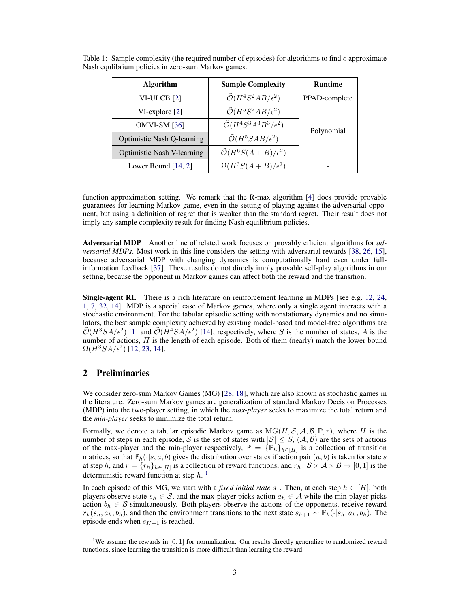| <b>Algorithm</b>                  | <b>Sample Complexity</b>                       | <b>Runtime</b> |
|-----------------------------------|------------------------------------------------|----------------|
| VI-ULCB <sub>[2]</sub>            | $\tilde{\mathcal{O}}(H^4S^2AB/\epsilon^2)$     | PPAD-complete  |
| $VI$ -explore $[2]$               | $\tilde{\mathcal{O}}(H^5S^2AB/\epsilon^2)$     |                |
| $OMVI-SM [36]$                    | $\tilde{\mathcal{O}}(H^4S^3A^3B^3/\epsilon^2)$ | Polynomial     |
| <b>Optimistic Nash Q-learning</b> | $\tilde{\mathcal{O}}(H^5SAB/\epsilon^2)$       |                |
| <b>Optimistic Nash V-learning</b> | $\tilde{\mathcal{O}}(H^6S(A+B)/\epsilon^2)$    |                |
| Lower Bound $[14, 2]$             | $\Omega(H^3S(A+B)/\epsilon^2)$                 |                |

Table 1: Sample complexity (the required number of episodes) for algorithms to find  $\epsilon$ -approximate Nash equlibrium policies in zero-sum Markov games.

function approximation setting. We remark that the R-max algorithm [4] does provide provable guarantees for learning Markov game, even in the setting of playing against the adversarial opponent, but using a definition of regret that is weaker than the standard regret. Their result does not imply any sample complexity result for finding Nash equilibrium policies.

Adversarial MDP Another line of related work focuses on provably efficient algorithms for *adversarial MDPs*. Most work in this line considers the setting with adversarial rewards [38, 26, 15], because adversarial MDP with changing dynamics is computationally hard even under fullinformation feedback [37]. These results do not direcly imply provable self-play algorithms in our setting, because the opponent in Markov games can affect both the reward and the transition.

Single-agent RL There is a rich literature on reinforcement learning in MDPs [see e.g. 12, 24, 1, 7, 32, 14]. MDP is a special case of Markov games, where only a single agent interacts with a stochastic environment. For the tabular episodic setting with nonstationary dynamics and no simulators, the best sample complexity achieved by existing model-based and model-free algorithms are  $\tilde{\mathcal{O}}(H^3SA/\epsilon^2)$  [1] and  $\tilde{\mathcal{O}}(H^4SA/\epsilon^2)$  [14], respectively, where S is the number of states, A is the number of actions,  $H$  is the length of each episode. Both of them (nearly) match the lower bound  $\Omega(H^3SA/\epsilon^2)$  [12, 23, 14].

# 2 Preliminaries

We consider zero-sum Markov Games (MG) [28, 18], which are also known as stochastic games in the literature. Zero-sum Markov games are generalization of standard Markov Decision Processes (MDP) into the two-player setting, in which the *max-player* seeks to maximize the total return and the *min-player* seeks to minimize the total return.

Formally, we denote a tabular episodic Markov game as  $MG(H, S, A, B, \mathbb{P}, r)$ , where H is the number of steps in each episode, S is the set of states with  $|S| \leq S$ ,  $(A, B)$  are the sets of actions of the max-player and the min-player respectively,  $\mathbb{P} = {\{\mathbb{P}_h\}}_{h \in [H]}$  is a collection of transition matrices, so that  $\mathbb{P}_h(\cdot|s, a, b)$  gives the distribution over states if action pair  $(a, b)$  is taken for state s at step h, and  $r = \{r_h\}_{h \in [H]}$  is a collection of reward functions, and  $r_h: S \times A \times B \to [0, 1]$  is the deterministic reward function at step  $h$ .<sup>1</sup>

In each episode of this MG, we start with a *fixed initial state*  $s_1$ . Then, at each step  $h \in [H]$ , both players observe state  $s_h \in S$ , and the max-player picks action  $a_h \in A$  while the min-player picks action  $b_h \in \mathcal{B}$  simultaneously. Both players observe the actions of the opponents, receive reward  $r_h(s_h, a_h, b_h)$ , and then the environment transitions to the next state  $s_{h+1} \sim \mathbb{P}_h(\cdot|s_h, a_h, b_h)$ . The episode ends when  $s_{H+1}$  is reached.

<sup>&</sup>lt;sup>1</sup>We assume the rewards in [0, 1] for normalization. Our results directly generalize to randomized reward functions, since learning the transition is more difficult than learning the reward.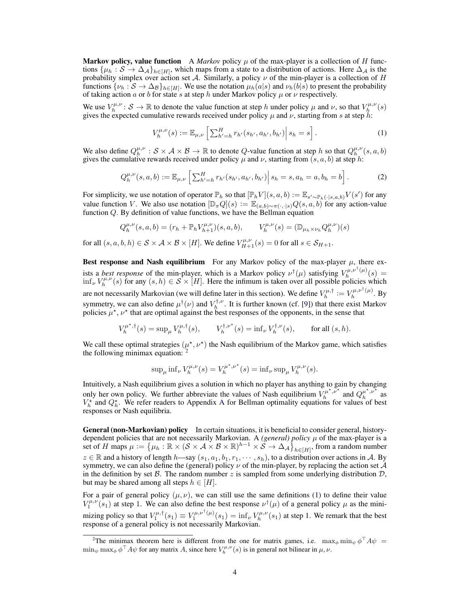**Markov policy, value function** A *Markov* policy  $\mu$  of the max-player is a collection of H functions  $\{\mu_h: \mathcal{S} \to \Delta_A\}_{h \in [H]}$ , which maps from a state to a distribution of actions. Here  $\Delta_A$  is the probability simplex over action set A. Similarly, a policy  $\nu$  of the min-player is a collection of H functions  $\{\nu_h: \mathcal{S} \to \Delta_B\}_{h \in [H]}$ . We use the notation  $\mu_h(a|s)$  and  $\nu_h(b|s)$  to present the probability of taking action a or b for state s at step h under Markov policy  $\mu$  or  $\nu$  respectively.

We use  $V_h^{\mu,\nu}$ :  $S \to \mathbb{R}$  to denote the value function at step h under policy  $\mu$  and  $\nu$ , so that  $V_h^{\mu,\nu}(s)$ gives the expected cumulative rewards received under policy  $\mu$  and  $\nu$ , starting from s at step h:

$$
V_h^{\mu,\nu}(s) := \mathbb{E}_{\mu,\nu} \left[ \sum_{h'=h}^H r_{h'}(s_{h'}, a_{h'}, b_{h'}) \right] s_h = s \right]. \tag{1}
$$

We also define  $Q_h^{\mu,\nu}$  :  $S \times A \times B \to \mathbb{R}$  to denote Q-value function at step h so that  $Q_h^{\mu,\nu}(s, a, b)$ gives the cumulative rewards received under policy  $\mu$  and  $\nu$ , starting from  $(s, a, b)$  at step h:

$$
Q_h^{\mu,\nu}(s,a,b) := \mathbb{E}_{\mu,\nu} \left[ \sum_{h'=h}^H r_{h'}(s_{h'}, a_{h'}, b_{h'}) \Big| s_h = s, a_h = a, b_h = b \right]. \tag{2}
$$

For simplicity, we use notation of operator  $\mathbb{P}_h$  so that  $[\mathbb{P}_h V](s, a, b) := \mathbb{E}_{s' \sim \mathbb{P}_h(\cdot | s, a, b)} V(s')$  for any value function V. We also use notation  $[\mathbb{D}_{\pi}Q](s) := \mathbb{E}_{(a,b)\sim\pi(\cdot,\cdot|s)}Q(s,a,b)$  for any action-value function Q. By definition of value functions, we have the Bellman equation

$$
Q^{\mu,\nu}_h(s,a,b)=(r_h+\mathbb{P}_h V^{\mu,\nu}_{h+1})(s,a,b),\qquad V^{\mu,\nu}_h(s)=(\mathbb{D}_{\mu_h\times \nu_h}Q^{\mu,\nu}_h)(s)
$$

for all  $(s, a, b, h) \in S \times A \times B \times [H]$ . We define  $V_{H+1}^{\mu, \nu}(s) = 0$  for all  $s \in S_{H+1}$ .

Best response and Nash equilibrium For any Markov policy of the max-player  $\mu$ , there exists a *best response* of the min-player, which is a Markov policy  $\nu^{\dagger}(\mu)$  satisfying  $V_h^{\mu,\nu^{\dagger}(\mu)}$  $\binom{\mu, \nu + (\mu)}{h}$  (s) =  $\inf_{\nu} V_h^{\mu,\nu}(s)$  for any  $(s,h) \in S \times [H]$ . Here the infimum is taken over all possible policies which are not necessarily Markovian (we will define later in this section). We define  $V_h^{\mu,\dagger} := V_h^{\mu,\nu^\dagger(\mu)}$  $h^{\mu,\nu^+(\mu)}$ . By symmetry, we can also define  $\mu^{\dagger}(\nu)$  and  $V_h^{\dagger,\nu}$ . It is further known (cf. [9]) that there exist Markov policies  $\mu^*$ ,  $\nu^*$  that are optimal against the best responses of the opponents, in the sense that

$$
V^{\mu^\star,\dagger}_h(s)=\sup\nolimits_\mu V^{\mu,\dagger}_h(s),\qquad V^{\dagger,\nu^\star}_h(s)=\inf\nolimits_\nu V^{\dagger,\nu}_h(s),\qquad\text{for all }(s,h).
$$

We call these optimal strategies  $(\mu^*, \nu^*)$  the Nash equilibrium of the Markov game, which satisfies the following minimax equation:

$$
\sup\nolimits_{\mu} \inf\nolimits_{\nu} V^{\mu,\nu}_h(s) = V^{\mu^\star,\nu^\star}_h(s) = \inf\nolimits_{\nu} \sup\nolimits_{\mu} V^{\mu,\nu}_h(s).
$$

Intuitively, a Nash equilibrium gives a solution in which no player has anything to gain by changing only her own policy. We further abbreviate the values of Nash equilibrium  $V_h^{\mu^*,\nu^*}$  and  $Q_h^{\mu^*,\nu^*}$  as  $V_h^{\star}$  and  $Q_h^{\star}$ . We refer readers to Appendix A for Bellman optimality equations for values of best responses or Nash equilibria.

General (non-Markovian) policy In certain situations, it is beneficial to consider general, historydependent policies that are not necessarily Markovian. A *(general) policy* µ of the max-player is a set of H maps  $\mu := \{\mu_h : \mathbb{R} \times (\mathcal{S} \times \mathcal{A} \times \mathcal{B} \times \mathbb{R})^{h-1} \times \mathcal{S} \to \Delta_{\mathcal{A}}\}_{h \in [H]}$ , from a random number  $z \in \mathbb{R}$  and a history of length  $h$ —say  $(s_1, a_1, b_1, r_1, \dots, s_h)$ , to a distribution over actions in A. By symmetry, we can also define the (general) policy  $\nu$  of the min-player, by replacing the action set A in the definition by set  $\beta$ . The random number z is sampled from some underlying distribution  $\mathcal{D}$ , but may be shared among all steps  $h \in [H]$ .

For a pair of general policy  $(\mu, \nu)$ , we can still use the same definitions (1) to define their value  $V_1^{\mu,\nu}(s_1)$  at step 1. We can also define the best response  $\nu^{\dagger}(\mu)$  of a general policy  $\mu$  as the minimizing policy so that  $V_1^{\mu,\dagger}(s_1) \equiv V_1^{\mu,\nu^{\dagger}(\mu)}(s_1) = \inf_{\nu} V_h^{\mu,\nu}(s_1)$  at step 1. We remark that the best response of a general policy is not necessarily Markovian.

<sup>&</sup>lt;sup>2</sup>The minimax theorem here is different from the one for matrix games, i.e.  $\max_{\phi} \min_{\psi} \phi^\top A \psi =$  $\min_{\psi} \max_{\phi} \phi^{\top} A \psi$  for any matrix A, since here  $V_h^{\mu,\nu}(s)$  is in general not bilinear in  $\mu, \nu$ .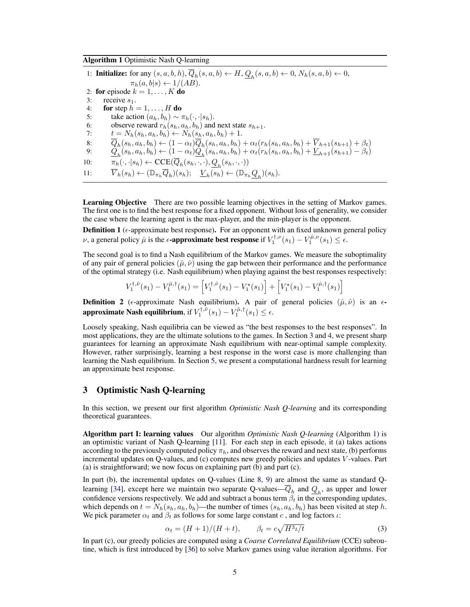Algorithm 1 Optimistic Nash Q-learning

1: **Initialize:** for any  $(s, a, b, h)$ ,  $\overline{Q}_h(s, a, b) \leftarrow H$ ,  $\underline{Q}_h(s, a, b) \leftarrow 0$ ,  $N_h(s, a, b) \leftarrow 0$ ,  $\pi_h(a, b|s) \leftarrow 1/(AB).$ 2: for episode  $k = 1, \ldots, K$  do 3: receive  $s_1$ .<br>4: **for** step h for step  $h = 1, \ldots, H$  do 5: take action  $(a_h, b_h) \sim \pi_h(\cdot, \cdot|s_h)$ .<br>6: observe reward  $r_h(s_h, a_h, b_h)$  and 6: observe reward  $r_h(s_h, a_h, b_h)$  and next state  $s_{h+1}$ . 7:  $t = N_h(s_h, a_h, b_h) \leftarrow N_h(s_h, a_h, b_h) + 1.$  $8{:} \qquad \overline{Q}_h(s_h,a_h,b_h) \leftarrow (1-\alpha_t)\overline{Q}_h(s_h,a_h,b_h) + \alpha_t(r_h(s_h,a_h,b_h) + \overline{V}_{h+1}(s_{h+1}) + \beta_t)$ 9:  $Q_h(s_h, a_h, b_h) \leftarrow (1 - \alpha_t) Q_h(s_h, a_h, b_h) + \alpha_t (r_h(s_h, a_h, b_h) + \underline{V}_{h+1}(s_{h+1}) - \beta_t)$ 10:  $\pi_h(\cdot, \cdot | s_h) \leftarrow \text{CCE}(\overline{Q}_h(s_h, \cdot, \cdot), \underline{Q}_h(s_h, \cdot, \cdot))$ 11:  $\overline{V}_h(s_h) \leftarrow (\mathbb{D}_{\pi_h} \overline{Q}_h)(s_h); \quad \underline{V}_h(s_h) \leftarrow (\mathbb{D}_{\pi_h} \underline{Q}_h)(s_h).$ 

Learning Objective There are two possible learning objectives in the setting of Markov games. The first one is to find the best response for a fixed opponent. Without loss of generality, we consider the case where the learning agent is the max-player, and the min-player is the opponent.

**Definition 1** ( $\epsilon$ -approximate best response). For an opponent with an fixed unknown general policy ν, a general policy  $\hat{\mu}$  is the  $\epsilon$ -approximate best response if  $V_1^{\dagger,\nu}(s_1) - V_1^{\hat{\mu},\nu}(s_1) \leq \epsilon$ .

The second goal is to find a Nash equilibrium of the Markov games. We measure the suboptimality of any pair of general policies  $(\hat{\mu}, \hat{\nu})$  using the gap between their performance and the performance of the optimal strategy (i.e. Nash equilibrium) when playing against the best responses respectively:

$$
V_1^{\dagger,\hat{\nu}}(s_1) - V_1^{\hat{\mu},\dagger}(s_1) = \left[V_1^{\dagger,\hat{\nu}}(s_1) - V_1^{\star}(s_1)\right] + \left[V_1^{\star}(s_1) - V_1^{\hat{\mu},\dagger}(s_1)\right]
$$

**Definition 2** ( $\epsilon$ -approximate Nash equilibrium). A pair of general policies  $(\hat{\mu}, \hat{\nu})$  is an  $\epsilon$ approximate Nash equilibrium, if  $V_1^{\dagger,\hat{\nu}}(s_1) - V_1^{\hat{\mu},\dagger}(s_1) \leq \epsilon$ .

Loosely speaking, Nash equilibria can be viewed as "the best responses to the best responses". In most applications, they are the ultimate solutions to the games. In Section 3 and 4, we present sharp guarantees for learning an approximate Nash equilibrium with near-optimal sample complexity. However, rather surprisingly, learning a best response in the worst case is more challenging than learning the Nash equilibrium. In Section 5, we present a computational hardness result for learning an approximate best response.

#### 3 Optimistic Nash Q-learning

In this section, we present our first algorithm *Optimistic Nash Q-learning* and its corresponding theoretical guarantees.

Algorithm part I: learning values Our algorithm *Optimistic Nash Q-learning* (Algorithm 1) is an optimistic variant of Nash Q-learning [11]. For each step in each episode, it (a) takes actions according to the previously computed policy  $\pi_h$ , and observes the reward and next state, (b) performs incremental updates on Q-values, and (c) computes new greedy policies and updates V -values. Part (a) is straightforward; we now focus on explaining part (b) and part (c).

In part (b), the incremental updates on Q-values (Line 8, 9) are almost the same as standard Qlearning [34], except here we maintain two separate Q-values— $Q_h$  and  $\underline{Q}_h$ , as upper and lower confidence versions respectively. We add and subtract a bonus term  $\beta_t$  in the corresponding updates, which depends on  $t = N_h(s_h, a_h, b_h)$ —the number of times  $(s_h, a_h, b_h)$  has been visited at step h. We pick parameter  $\alpha_t$  and  $\beta_t$  as follows for some large constant c, and log factors  $\iota$ :

$$
\alpha_t = (H+1)/(H+t), \qquad \beta_t = c\sqrt{H^3\iota/t} \tag{3}
$$

In part (c), our greedy policies are computed using a *Coarse Correlated Equilibrium* (CCE) subroutine, which is first introduced by [36] to solve Markov games using value iteration algorithms. For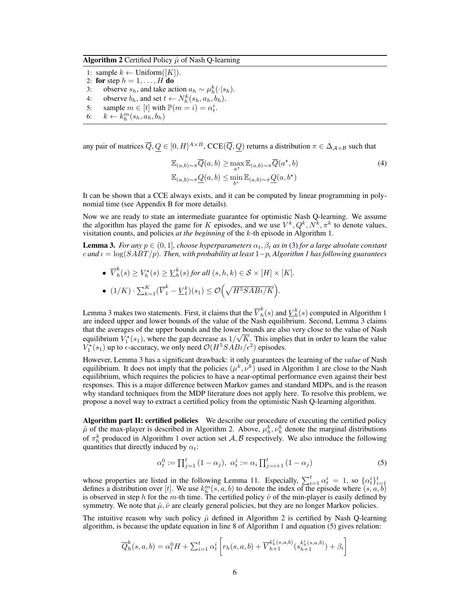Algorithm 2 Certified Policy  $\hat{\mu}$  of Nash Q-learning

- 1: sample  $k \leftarrow \text{Uniform}([K])$ .
- 2: for step  $h = 1, \ldots, H$  do
- 3: observe  $s_h$ , and take action  $a_h \sim \mu_h^k(\cdot|s_h)$ .
- 4: observe  $b_h$ , and set  $t \leftarrow N_h^k(s_h, a_h, b_h)$ .
- 5: sample  $m \in [t]$  with  $\mathbb{P}(m = i) = \alpha_t^i$ .
- 6:  $k \leftarrow k_h^m(s_h, a_h, b_h)$

any pair of matrices  $\overline{Q},Q\in[0,H]^{A\times B},\text{CCE}(\overline{Q},Q)$  returns a distribution  $\pi\in\Delta_{\mathcal{A}\times\mathcal{B}}$  such that

$$
\mathbb{E}_{(a,b)\sim\pi} \overline{Q}(a,b) \ge \max_{a^*} \mathbb{E}_{(a,b)\sim\pi} \overline{Q}(a^*,b)
$$
\n
$$
\mathbb{E}_{(a,b)\sim\pi} \underline{Q}(a,b) \le \min_{b^*} \mathbb{E}_{(a,b)\sim\pi} \underline{Q}(a,b^*)
$$
\n(4)

It can be shown that a CCE always exists, and it can be computed by linear programming in polynomial time (see Appendix B for more details).

Now we are ready to state an intermediate guarantee for optimistic Nash Q-learning. We assume the algorithm has played the game for K episodes, and we use  $V^k, Q^k, N^k, \pi^k$  to denote values, visitation counts, and policies *at the beginning* of the k-th episode in Algorithm 1.

**Lemma 3.** *For any*  $p \in (0, 1]$ *, choose hyperparameters*  $\alpha_t$ *,*  $\beta_t$ *as in* (3) *for a large absolute constant*  $c$  *and*  $\iota = \log(SABT/p)$ *. Then, with probability at least*  $1-p$ *, Algorithm 1* has following guarantees

- $\bullet~~ \overline{V}^k_h$  $h_h^k(s) \geq V_h^*(s) \geq \underline{V}_h^k(s)$  for all  $(s, h, k) \in S \times [H] \times [K]$ .
- $(1/K) \cdot \sum_{k=1}^{K} (\overline{V}_1^k \underline{V}_1^k)(s_1) \leq \mathcal{O}(\sqrt{H^5SAB\iota/K}).$

Lemma 3 makes two statements. First, it claims that the  $\overline{V}_h^k$  $h(k)$  and  $\underline{V}_h^k(s)$  computed in Algorithm 1 are indeed upper and lower bounds of the value of the Nash equilibrium. Second, Lemma 3 claims that the averages of the upper bounds and the lower bounds are also very close to the value of Nash equilibrium  $V_1^*(s_1)$ , where the gap decrease as  $1/\sqrt{K}$ . This implies that in order to learn the value  $V_1^{\star}(s_1)$  up to  $\epsilon$ -accuracy, we only need  $\mathcal{O}(H^5SAB\iota/\epsilon^2)$  episodes.

However, Lemma 3 has a significant drawback: it only guarantees the learning of the *value* of Nash equilibrium. It does not imply that the policies  $(\mu^k, \nu^k)$  used in Algorithm 1 are close to the Nash equilibrium, which requires the policies to have a near-optimal performance even against their best responses. This is a major difference between Markov games and standard MDPs, and is the reason why standard techniques from the MDP literature does not apply here. To resolve this problem, we propose a novel way to extract a certified policy from the optimistic Nash Q-learning algorithm.

Algorithm part II: certified policies We describe our procedure of executing the certified policy  $\hat{\mu}$  of the max-player is described in Algorithm 2. Above,  $\mu_h^k, \nu_h^k$  denote the marginal distributions of  $\pi_h^k$  produced in Algorithm 1 over action set A, B respectively. We also introduce the following quantities that directly induced by  $\alpha_t$ :

$$
\alpha_t^0 := \prod_{j=1}^t (1 - \alpha_j), \ \alpha_t^i := \alpha_i \prod_{j=i+1}^t (1 - \alpha_j) \tag{5}
$$

whose properties are listed in the following Lemma 11. Especially,  $\sum_{i=1}^{t} \alpha_t^i = 1$ , so  $\{\alpha_t^i\}_{i=1}^t$  defines a distribution over [t]. We use  $k_h^m(s, a, b)$  to denote the index of the episode where  $(s, a, b)$ is observed in step h for the m-th time. The certified policy  $\hat{v}$  of the min-player is easily defined by symmetry. We note that  $\hat{\mu}, \hat{\nu}$  are clearly general policies, but they are no longer Markov policies.

The intuitive reason why such policy  $\hat{\mu}$  defined in Algorithm 2 is certified by Nash Q-learning algorithm, is because the update equation in line 8 of Algorithm 1 and equation (5) gives relation:

$$
\overline{Q}_{h}^{k}(s, a, b) = \alpha_{t}^{0}H + \sum_{i=1}^{t} \alpha_{t}^{i} \left[ r_{h}(s, a, b) + \overline{V}_{h+1}^{k_{h}^{i}(s, a, b)} (s_{h+1}^{k_{h}^{i}(s, a, b)}) + \beta_{i} \right]
$$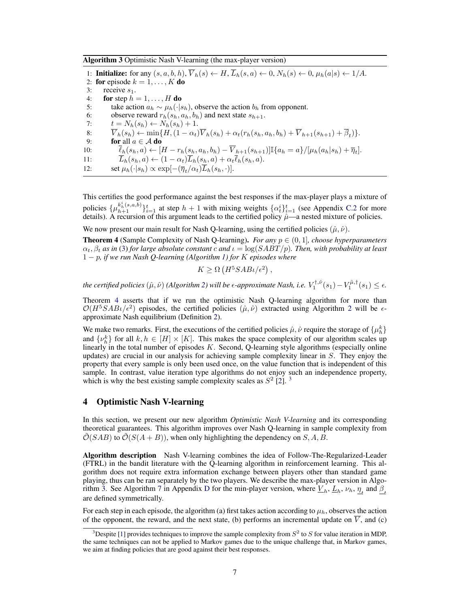Algorithm 3 Optimistic Nash V-learning (the max-player version)

1: **Initialize:** for any  $(s, a, b, h)$ ,  $\overline{V}_h(s) \leftarrow H$ ,  $\overline{L}_h(s, a) \leftarrow 0$ ,  $N_h(s) \leftarrow 0$ ,  $\mu_h(a|s) \leftarrow 1/A$ . 2: for episode  $k = 1, \ldots, K$  do 3: receive  $s_1$ . 4: for step  $h = 1, \ldots, H$  do 5: take action  $a_h \sim \mu_h(\cdot|s_h)$ , observe the action  $b_h$  from opponent. 6: observe reward  $r_h(s_h, a_h, b_h)$  and next state  $s_{h+1}$ . 7:  $t = N_h(s_h) \leftarrow N_h(s_h) + 1.$ 8:  $\overline{V}_h(s_h) \leftarrow \min\{H, (1-\alpha_t)\overline{V}_h(s_h) + \alpha_t(r_h(s_h, a_h, b_h) + \overline{V}_{h+1}(s_{h+1}) + \beta_t)\}.$ 9: **for** all  $a \in A$  do 10:  $\overline{\ell}_h(s_h, a) \leftarrow [H - r_h(s_h, a_h, b_h) - \overline{V}_{h+1}(s_{h+1})] \mathbb{I}\{a_h = a\}/[\mu_h(a_h|s_h) + \overline{\eta}_t].$ 11:  $\overline{L}_h(s_h, a) \leftarrow (1 - \alpha_t) \overline{L}_h(s_h, a) + \alpha_t \overline{\ell}_h(s_h, a).$ 12: set  $\mu_h(\cdot|s_h) \propto \exp[-(\overline{\eta}_t/\alpha_t)\overline{L}_h(s_h,\cdot)].$ 

This certifies the good performance against the best responses if the max-player plays a mixture of policies  $\{\mu_{h+1}^{k_h^i(s,a,b)}\}_{i=1}^t$  at step  $h+1$  with mixing weights  $\{\alpha_t^i\}_{i=1}^t$  (see Appendix C.2 for more details). A recursion of this argument leads to the certified policy  $\hat{\mu}$ —a nested mixture of policies.

We now present our main result for Nash Q-learning, using the certified policies  $(\hat{\mu}, \hat{\nu})$ .

**Theorem 4** (Sample Complexity of Nash Q-learning). *For any*  $p \in (0, 1]$ *, choose hyperparameters*  $\alpha_t, \beta_t$  *as in* (3) *for large absolute constant c and*  $\iota = \log(SABT/p)$ *. Then, with probability at least* 1 − p*, if we run Nash Q-learning (Algorithm 1) for* K *episodes where*

$$
K \ge \Omega\left(H^5SAB\iota/\epsilon^2\right),\,
$$

the certified policies  $(\hat\mu,\hat\nu)$  (Algorithm 2) will be  $\epsilon$ -approximate Nash, i.e.  $V_1^{\dagger,\hat\nu}(s_1)-V_1^{\hat\mu,\dagger}(s_1)\leq\epsilon.$ 

Theorem 4 asserts that if we run the optimistic Nash Q-learning algorithm for more than  $\mathcal{O}(H^5SAB\iota/\epsilon^2)$  episodes, the certified policies  $(\hat{\mu}, \hat{\nu})$  extracted using Algorithm 2 will be  $\epsilon$ approximate Nash equilibrium (Definition 2).

We make two remarks. First, the executions of the certified policies  $\hat{\mu}, \hat{\nu}$  require the storage of  $\{\mu_h^k\}$ and  $\{\nu_h^k\}$  for all  $k, h \in [H] \times [K]$ . This makes the space complexity of our algorithm scales up linearly in the total number of episodes  $K$ . Second, Q-learning style algorithms (especially online updates) are crucial in our analysis for achieving sample complexity linear in  $S$ . They enjoy the property that every sample is only been used once, on the value function that is independent of this sample. In contrast, value iteration type algorithms do not enjoy such an independence property, which is why the best existing sample complexity scales as  $S^2$  [2]. <sup>3</sup>

## 4 Optimistic Nash V-learning

In this section, we present our new algorithm *Optimistic Nash V-learning* and its corresponding theoretical guarantees. This algorithm improves over Nash Q-learning in sample complexity from  $\tilde{\mathcal{O}}(SAB)$  to  $\tilde{\mathcal{O}}(S(A+B))$ , when only highlighting the dependency on S, A, B.

Algorithm description Nash V-learning combines the idea of Follow-The-Regularized-Leader (FTRL) in the bandit literature with the Q-learning algorithm in reinforcement learning. This algorithm does not require extra information exchange between players other than standard game playing, thus can be ran separately by the two players. We describe the max-player version in Algorithm 3. See Algorithm 7 in Appendix D for the min-player version, where  $\underline{V}_h$ ,  $\underline{L}_h$ ,  $\nu_h$ ,  $\underline{\eta}_t$  and  $\underline{\beta}_t$ are defined symmetrically.

For each step in each episode, the algorithm (a) first takes action according to  $\mu_h$ , observes the action of the opponent, the reward, and the next state, (b) performs an incremental update on  $V$ , and (c)

<sup>&</sup>lt;sup>3</sup>Despite [1] provides techniques to improve the sample complexity from  $S^2$  to S for value iteration in MDP, the same techniques can not be applied to Markov games due to the unique challenge that, in Markov games, we aim at finding policies that are good against their best responses.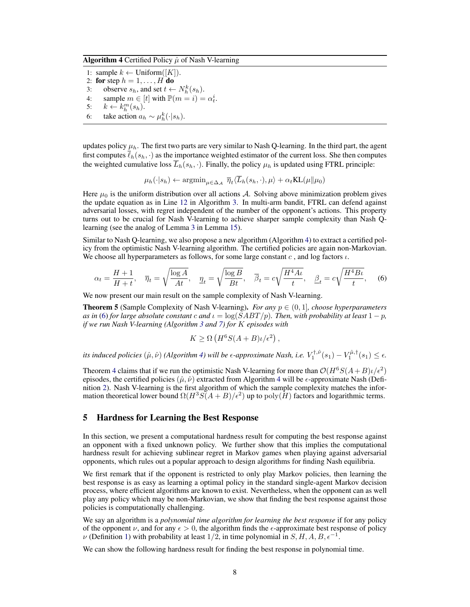Algorithm 4 Certified Policy  $\hat{\mu}$  of Nash V-learning

1: sample  $k \leftarrow$  Uniform([K]). 2: for step  $h = 1, \ldots, H$  do 3: observe  $s_h$ , and set  $t \leftarrow N_h^k(s_h)$ . 4: sample  $m \in [t]$  with  $\mathbb{P}(m = i) = \alpha_t^i$ . 5:  $k \leftarrow k_h^m(s_h)$ .

6: take action  $a_h \sim \mu_h^k(\cdot|s_h)$ .

updates policy  $\mu_h$ . The first two parts are very similar to Nash Q-learning. In the third part, the agent first computes  $\ell_h(s_h, \cdot)$  as the importance weighted estimator of the current loss. She then computes the weighted cumulative loss  $\overline{L}_h(s_h, \cdot)$ . Finally, the policy  $\mu_h$  is updated using FTRL principle:

$$
\mu_h(\cdot|s_h) \leftarrow \operatorname{argmin}_{\mu \in \Delta_{\mathcal{A}}} \overline{\eta}_t \langle L_h(s_h, \cdot), \mu \rangle + \alpha_t \text{KL}(\mu \| \mu_0)
$$

Here  $\mu_0$  is the uniform distribution over all actions A. Solving above minimization problem gives the update equation as in Line 12 in Algorithm 3. In multi-arm bandit, FTRL can defend against adversarial losses, with regret independent of the number of the opponent's actions. This property turns out to be crucial for Nash V-learning to achieve sharper sample complexity than Nash Qlearning (see the analog of Lemma 3 in Lemma 15).

Similar to Nash Q-learning, we also propose a new algorithm (Algorithm 4) to extract a certified policy from the optimistic Nash V-learning algorithm. The certified policies are again non-Markovian. We choose all hyperparameters as follows, for some large constant  $c$ , and log factors  $\iota$ .

$$
\alpha_t = \frac{H+1}{H+t}, \quad \overline{\eta}_t = \sqrt{\frac{\log A}{At}}, \quad \underline{\eta}_t = \sqrt{\frac{\log B}{Bt}}, \quad \overline{\beta}_t = c\sqrt{\frac{H^4 A\iota}{t}}, \quad \underline{\beta}_t = c\sqrt{\frac{H^4 B\iota}{t}}, \quad (6)
$$

We now present our main result on the sample complexity of Nash V-learning.

**Theorem 5** (Sample Complexity of Nash V-learning). *For any*  $p \in (0,1]$ *, choose hyperparameters as in* (6) *for large absolute constant* c and  $\iota = \log(SABT/p)$ *. Then, with probability at least*  $1 - p$ *, if we run Nash V-learning (Algorithm 3 and 7) for* K *episodes with*

$$
K \ge \Omega \left( H^6 S(A+B) \iota / \epsilon^2 \right),
$$

*its induced policies*  $(\hat{\mu}, \hat{\nu})$  (Algorithm 4) will be  $\epsilon$ -approximate Nash, i.e.  $V_1^{\dagger,\hat{\nu}}(s_1) - V_1^{\hat{\mu},\dagger}(s_1) \leq \epsilon$ .

Theorem 4 claims that if we run the optimistic Nash V-learning for more than  $O(H^6S(A+B)\iota/\epsilon^2)$ episodes, the certified policies  $(\hat{\mu}, \hat{\nu})$  extracted from Algorithm 4 will be  $\epsilon$ -approximate Nash (Definition 2). Nash V-learning is the first algorithm of which the sample complexity matches the information theoretical lower bound  $\Omega(H^3S(A+B)/\epsilon^2)$  up to  $\text{poly}(H)$  factors and logarithmic terms.

## 5 Hardness for Learning the Best Response

In this section, we present a computational hardness result for computing the best response against an opponent with a fixed unknown policy. We further show that this implies the computational hardness result for achieving sublinear regret in Markov games when playing against adversarial opponents, which rules out a popular approach to design algorithms for finding Nash equilibria.

We first remark that if the opponent is restricted to only play Markov policies, then learning the best response is as easy as learning a optimal policy in the standard single-agent Markov decision process, where efficient algorithms are known to exist. Nevertheless, when the opponent can as well play any policy which may be non-Markovian, we show that finding the best response against those policies is computationally challenging.

We say an algorithm is a *polynomial time algorithm for learning the best response* if for any policy of the opponent  $\nu$ , and for any  $\epsilon > 0$ , the algorithm finds the  $\epsilon$ -approximate best response of policy v (Definition 1) with probability at least 1/2, in time polynomial in  $S, H, A, B, \epsilon^{-1}$ .

We can show the following hardness result for finding the best response in polynomial time.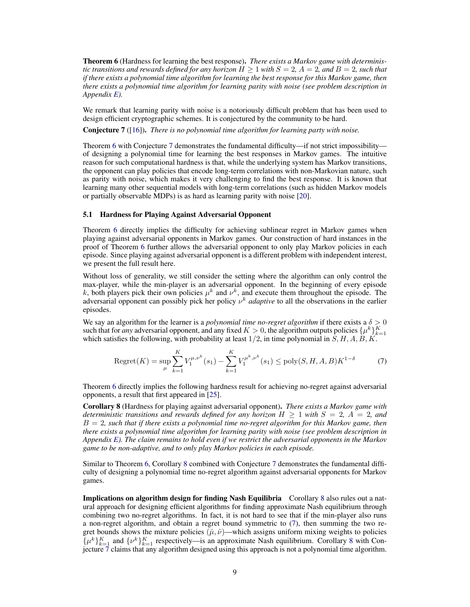Theorem 6 (Hardness for learning the best response). *There exists a Markov game with deterministic transitions and rewards defined for any horizon*  $H \geq 1$  *with*  $S = 2$ ,  $A = 2$ , and  $B = 2$ , such that *if there exists a polynomial time algorithm for learning the best response for this Markov game, then there exists a polynomial time algorithm for learning parity with noise (see problem description in Appendix E).*

We remark that learning parity with noise is a notoriously difficult problem that has been used to design efficient cryptographic schemes. It is conjectured by the community to be hard.

Conjecture 7 ([16]). *There is no polynomial time algorithm for learning party with noise.*

Theorem 6 with Conjecture 7 demonstrates the fundamental difficulty—if not strict impossibility of designing a polynomial time for learning the best responses in Markov games. The intuitive reason for such computational hardness is that, while the underlying system has Markov transitions, the opponent can play policies that encode long-term correlations with non-Markovian nature, such as parity with noise, which makes it very challenging to find the best response. It is known that learning many other sequential models with long-term correlations (such as hidden Markov models or partially observable MDPs) is as hard as learning parity with noise [20].

#### 5.1 Hardness for Playing Against Adversarial Opponent

Theorem 6 directly implies the difficulty for achieving sublinear regret in Markov games when playing against adversarial opponents in Markov games. Our construction of hard instances in the proof of Theorem 6 further allows the adversarial opponent to only play Markov policies in each episode. Since playing against adversarial opponent is a different problem with independent interest, we present the full result here.

Without loss of generality, we still consider the setting where the algorithm can only control the max-player, while the min-player is an adversarial opponent. In the beginning of every episode k, both players pick their own policies  $\mu^k$  and  $\nu^k$ , and execute them throughout the episode. The adversarial opponent can possibly pick her policy  $\nu^k$  *adaptive* to all the observations in the earlier episodes.

We say an algorithm for the learner is a *polynomial time no-regret algorithm* if there exists a  $\delta > 0$ such that for *any* adversarial opponent, and any fixed  $K > 0$ , the algorithm outputs policies  $\{\mu^k\}_{k=1}^K$ which satisfies the following, with probability at least 1/2, in time polynomial in  $\overline{S}$ , H, A,  $\overline{B}$ , K.

Regret(K) = sup 
$$
\sum_{\mu}^{K} V_1^{\mu,\nu^k}(s_1) - \sum_{k=1}^{K} V_1^{\mu^k,\nu^k}(s_1) \le \text{poly}(S, H, A, B) K^{1-\delta}
$$
 (7)

Theorem 6 directly implies the following hardness result for achieving no-regret against adversarial opponents, a result that first appeared in [25].

Corollary 8 (Hardness for playing against adversarial opponent). *There exists a Markov game with deterministic transitions and rewards defined for any horizon*  $H > 1$  *with*  $S = 2$ ,  $A = 2$ , and B = 2*, such that if there exists a polynomial time no-regret algorithm for this Markov game, then there exists a polynomial time algorithm for learning parity with noise (see problem description in Appendix E). The claim remains to hold even if we restrict the adversarial opponents in the Markov game to be non-adaptive, and to only play Markov policies in each episode.*

Similar to Theorem 6, Corollary 8 combined with Conjecture 7 demonstrates the fundamental difficulty of designing a polynomial time no-regret algorithm against adversarial opponents for Markov games.

Implications on algorithm design for finding Nash Equilibria Corollary 8 also rules out a natural approach for designing efficient algorithms for finding approximate Nash equilibrium through combining two no-regret algorithms. In fact, it is not hard to see that if the min-player also runs a non-regret algorithm, and obtain a regret bound symmetric to (7), then summing the two regret bounds shows the mixture policies  $(\hat{\mu}, \hat{\nu})$ —which assigns uniform mixing weights to policies  $\{\mu^k\}_{k=1}^K$  and  $\{\nu^k\}_{k=1}^K$  respectively—is an approximate Nash equilibrium. Corollary 8 with Conjecture 7 claims that any algorithm designed using this approach is not a polynomial time algorithm.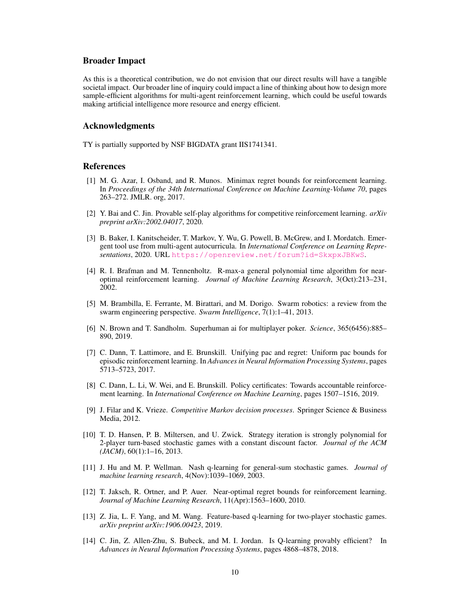## Broader Impact

As this is a theoretical contribution, we do not envision that our direct results will have a tangible societal impact. Our broader line of inquiry could impact a line of thinking about how to design more sample-efficient algorithms for multi-agent reinforcement learning, which could be useful towards making artificial intelligence more resource and energy efficient.

## Acknowledgments

TY is partially supported by NSF BIGDATA grant IIS1741341.

## **References**

- [1] M. G. Azar, I. Osband, and R. Munos. Minimax regret bounds for reinforcement learning. In *Proceedings of the 34th International Conference on Machine Learning-Volume 70*, pages 263–272. JMLR. org, 2017.
- [2] Y. Bai and C. Jin. Provable self-play algorithms for competitive reinforcement learning. *arXiv preprint arXiv:2002.04017*, 2020.
- [3] B. Baker, I. Kanitscheider, T. Markov, Y. Wu, G. Powell, B. McGrew, and I. Mordatch. Emergent tool use from multi-agent autocurricula. In *International Conference on Learning Representations*, 2020. URL <https://openreview.net/forum?id=SkxpxJBKwS>.
- [4] R. I. Brafman and M. Tennenholtz. R-max-a general polynomial time algorithm for nearoptimal reinforcement learning. *Journal of Machine Learning Research*, 3(Oct):213–231, 2002.
- [5] M. Brambilla, E. Ferrante, M. Birattari, and M. Dorigo. Swarm robotics: a review from the swarm engineering perspective. *Swarm Intelligence*, 7(1):1–41, 2013.
- [6] N. Brown and T. Sandholm. Superhuman ai for multiplayer poker. *Science*, 365(6456):885– 890, 2019.
- [7] C. Dann, T. Lattimore, and E. Brunskill. Unifying pac and regret: Uniform pac bounds for episodic reinforcement learning. In *Advances in Neural Information Processing Systems*, pages 5713–5723, 2017.
- [8] C. Dann, L. Li, W. Wei, and E. Brunskill. Policy certificates: Towards accountable reinforcement learning. In *International Conference on Machine Learning*, pages 1507–1516, 2019.
- [9] J. Filar and K. Vrieze. *Competitive Markov decision processes*. Springer Science & Business Media, 2012.
- [10] T. D. Hansen, P. B. Miltersen, and U. Zwick. Strategy iteration is strongly polynomial for 2-player turn-based stochastic games with a constant discount factor. *Journal of the ACM (JACM)*, 60(1):1–16, 2013.
- [11] J. Hu and M. P. Wellman. Nash q-learning for general-sum stochastic games. *Journal of machine learning research*, 4(Nov):1039–1069, 2003.
- [12] T. Jaksch, R. Ortner, and P. Auer. Near-optimal regret bounds for reinforcement learning. *Journal of Machine Learning Research*, 11(Apr):1563–1600, 2010.
- [13] Z. Jia, L. F. Yang, and M. Wang. Feature-based q-learning for two-player stochastic games. *arXiv preprint arXiv:1906.00423*, 2019.
- [14] C. Jin, Z. Allen-Zhu, S. Bubeck, and M. I. Jordan. Is Q-learning provably efficient? In *Advances in Neural Information Processing Systems*, pages 4868–4878, 2018.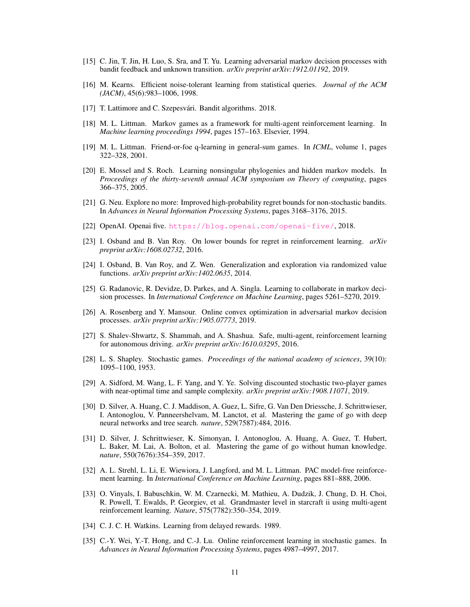- [15] C. Jin, T. Jin, H. Luo, S. Sra, and T. Yu. Learning adversarial markov decision processes with bandit feedback and unknown transition. *arXiv preprint arXiv:1912.01192*, 2019.
- [16] M. Kearns. Efficient noise-tolerant learning from statistical queries. *Journal of the ACM (JACM)*, 45(6):983–1006, 1998.
- [17] T. Lattimore and C. Szepesvári. Bandit algorithms. 2018.
- [18] M. L. Littman. Markov games as a framework for multi-agent reinforcement learning. In *Machine learning proceedings 1994*, pages 157–163. Elsevier, 1994.
- [19] M. L. Littman. Friend-or-foe q-learning in general-sum games. In *ICML*, volume 1, pages 322–328, 2001.
- [20] E. Mossel and S. Roch. Learning nonsingular phylogenies and hidden markov models. In *Proceedings of the thirty-seventh annual ACM symposium on Theory of computing*, pages 366–375, 2005.
- [21] G. Neu. Explore no more: Improved high-probability regret bounds for non-stochastic bandits. In *Advances in Neural Information Processing Systems*, pages 3168–3176, 2015.
- [22] OpenAI. Openai five. <https://blog.openai.com/openai-five/>, 2018.
- [23] I. Osband and B. Van Roy. On lower bounds for regret in reinforcement learning. *arXiv preprint arXiv:1608.02732*, 2016.
- [24] I. Osband, B. Van Roy, and Z. Wen. Generalization and exploration via randomized value functions. *arXiv preprint arXiv:1402.0635*, 2014.
- [25] G. Radanovic, R. Devidze, D. Parkes, and A. Singla. Learning to collaborate in markov decision processes. In *International Conference on Machine Learning*, pages 5261–5270, 2019.
- [26] A. Rosenberg and Y. Mansour. Online convex optimization in adversarial markov decision processes. *arXiv preprint arXiv:1905.07773*, 2019.
- [27] S. Shalev-Shwartz, S. Shammah, and A. Shashua. Safe, multi-agent, reinforcement learning for autonomous driving. *arXiv preprint arXiv:1610.03295*, 2016.
- [28] L. S. Shapley. Stochastic games. *Proceedings of the national academy of sciences*, 39(10): 1095–1100, 1953.
- [29] A. Sidford, M. Wang, L. F. Yang, and Y. Ye. Solving discounted stochastic two-player games with near-optimal time and sample complexity. *arXiv preprint arXiv:1908.11071*, 2019.
- [30] D. Silver, A. Huang, C. J. Maddison, A. Guez, L. Sifre, G. Van Den Driessche, J. Schrittwieser, I. Antonoglou, V. Panneershelvam, M. Lanctot, et al. Mastering the game of go with deep neural networks and tree search. *nature*, 529(7587):484, 2016.
- [31] D. Silver, J. Schrittwieser, K. Simonyan, I. Antonoglou, A. Huang, A. Guez, T. Hubert, L. Baker, M. Lai, A. Bolton, et al. Mastering the game of go without human knowledge. *nature*, 550(7676):354–359, 2017.
- [32] A. L. Strehl, L. Li, E. Wiewiora, J. Langford, and M. L. Littman. PAC model-free reinforcement learning. In *International Conference on Machine Learning*, pages 881–888, 2006.
- [33] O. Vinyals, I. Babuschkin, W. M. Czarnecki, M. Mathieu, A. Dudzik, J. Chung, D. H. Choi, R. Powell, T. Ewalds, P. Georgiev, et al. Grandmaster level in starcraft ii using multi-agent reinforcement learning. *Nature*, 575(7782):350–354, 2019.
- [34] C. J. C. H. Watkins. Learning from delayed rewards. 1989.
- [35] C.-Y. Wei, Y.-T. Hong, and C.-J. Lu. Online reinforcement learning in stochastic games. In *Advances in Neural Information Processing Systems*, pages 4987–4997, 2017.